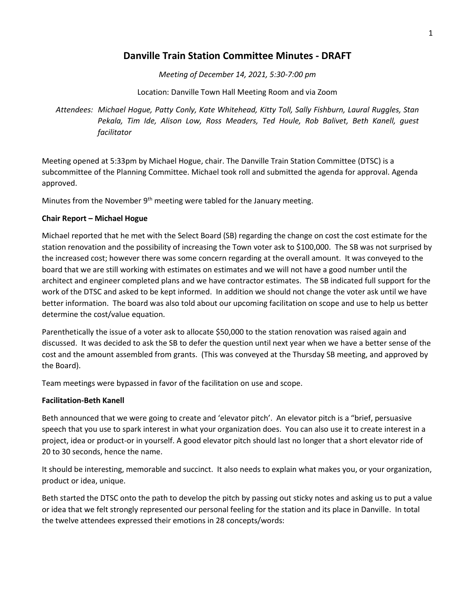## **Danville Train Station Committee Minutes - DRAFT**

*Meeting of December 14, 2021, 5:30-7:00 pm*

Location: Danville Town Hall Meeting Room and via Zoom

*Attendees: Michael Hogue, Patty Conly, Kate Whitehead, Kitty Toll, Sally Fishburn, Laural Ruggles, Stan Pekala, Tim Ide, Alison Low, Ross Meaders, Ted Houle, Rob Balivet, Beth Kanell, guest facilitator*

Meeting opened at 5:33pm by Michael Hogue, chair. The Danville Train Station Committee (DTSC) is a subcommittee of the Planning Committee. Michael took roll and submitted the agenda for approval. Agenda approved.

Minutes from the November 9<sup>th</sup> meeting were tabled for the January meeting.

#### **Chair Report – Michael Hogue**

Michael reported that he met with the Select Board (SB) regarding the change on cost the cost estimate for the station renovation and the possibility of increasing the Town voter ask to \$100,000. The SB was not surprised by the increased cost; however there was some concern regarding at the overall amount. It was conveyed to the board that we are still working with estimates on estimates and we will not have a good number until the architect and engineer completed plans and we have contractor estimates. The SB indicated full support for the work of the DTSC and asked to be kept informed. In addition we should not change the voter ask until we have better information. The board was also told about our upcoming facilitation on scope and use to help us better determine the cost/value equation.

Parenthetically the issue of a voter ask to allocate \$50,000 to the station renovation was raised again and discussed. It was decided to ask the SB to defer the question until next year when we have a better sense of the cost and the amount assembled from grants. (This was conveyed at the Thursday SB meeting, and approved by the Board).

Team meetings were bypassed in favor of the facilitation on use and scope.

#### **Facilitation-Beth Kanell**

Beth announced that we were going to create and 'elevator pitch'. An elevator pitch is a "brief, persuasive speech that you use to spark interest in what your organization does. You can also use it to create interest in a project, idea or product-or in yourself. A good elevator pitch should last no longer that a short elevator ride of 20 to 30 seconds, hence the name.

It should be interesting, memorable and succinct. It also needs to explain what makes you, or your organization, product or idea, unique.

Beth started the DTSC onto the path to develop the pitch by passing out sticky notes and asking us to put a value or idea that we felt strongly represented our personal feeling for the station and its place in Danville. In total the twelve attendees expressed their emotions in 28 concepts/words: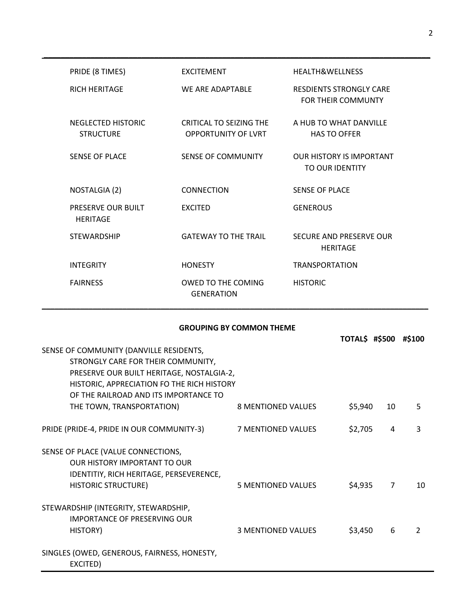| PRIDE (8 TIMES)                        | <b>EXCITEMENT</b>                                     | <b>HEALTH&amp;WELLNESS</b>                                  |
|----------------------------------------|-------------------------------------------------------|-------------------------------------------------------------|
| <b>RICH HERITAGE</b>                   | WE ARE ADAPTABLE                                      | <b>RESDIENTS STRONGLY CARE</b><br><b>FOR THEIR COMMUNTY</b> |
| NEGLECTED HISTORIC<br><b>STRUCTURE</b> | CRITICAL TO SEIZING THE<br><b>OPPORTUNITY OF LVRT</b> | A HUR TO WHAT DANVILLE<br><b>HAS TO OFFER</b>               |
| <b>SENSE OF PLACE</b>                  | <b>SENSE OF COMMUNITY</b>                             | <b>OUR HISTORY IS IMPORTANT</b><br>TO OUR IDENTITY          |
| NOSTALGIA (2)                          | <b>CONNECTION</b>                                     | <b>SENSE OF PLACE</b>                                       |
| PRESERVE OUR BUILT<br><b>HERITAGE</b>  | <b>EXCITED</b>                                        | <b>GENEROUS</b>                                             |
| <b>STEWARDSHIP</b>                     | <b>GATEWAY TO THE TRAIL</b>                           | SECURE AND PRESERVE OUR<br><b>HERITAGE</b>                  |
| <b>INTEGRITY</b>                       | <b>HONESTY</b>                                        | <b>TRANSPORTATION</b>                                       |
| <b>FAIRNESS</b>                        | OWED TO THE COMING<br><b>GENERATION</b>               | <b>HISTORIC</b>                                             |

**\_\_\_\_\_\_\_\_\_\_\_\_\_\_\_\_\_\_\_\_\_\_\_\_\_\_\_\_\_\_\_\_\_\_\_\_\_\_\_\_\_\_\_\_\_\_\_\_\_\_\_\_\_\_\_\_\_\_\_\_\_\_\_\_\_\_\_\_\_\_\_\_\_\_\_\_\_\_\_\_\_\_\_\_\_\_\_\_\_\_\_**

### **GROUPING BY COMMON THEME**

|                                             |                           | <b>TOTAL\$ #\$500</b> |    | #\$100        |
|---------------------------------------------|---------------------------|-----------------------|----|---------------|
| SENSE OF COMMUNITY (DANVILLE RESIDENTS,     |                           |                       |    |               |
| STRONGLY CARE FOR THEIR COMMUNITY,          |                           |                       |    |               |
| PRESERVE OUR BUILT HERITAGE, NOSTALGIA-2,   |                           |                       |    |               |
| HISTORIC, APPRECIATION FO THE RICH HISTORY  |                           |                       |    |               |
| OF THE RAILROAD AND ITS IMPORTANCE TO       |                           |                       |    |               |
| THE TOWN, TRANSPORTATION)                   | <b>8 MENTIONED VALUES</b> | \$5,940               | 10 | 5             |
| PRIDE (PRIDE-4, PRIDE IN OUR COMMUNITY-3)   | 7 MENTIONED VALUES        | \$2,705               | 4  | 3             |
| SENSE OF PLACE (VALUE CONNECTIONS,          |                           |                       |    |               |
| <b>OUR HISTORY IMPORTANT TO OUR</b>         |                           |                       |    |               |
| IDENTITIY, RICH HERITAGE, PERSEVERENCE,     |                           |                       |    |               |
| <b>HISTORIC STRUCTURE)</b>                  | 5 MENTIONED VALUES        | \$4,935               | 7  | 10            |
| STEWARDSHIP (INTEGRITY, STEWARDSHIP,        |                           |                       |    |               |
| IMPORTANCE OF PRESERVING OUR                |                           |                       |    |               |
| HISTORY)                                    | <b>3 MENTIONED VALUES</b> | \$3,450               | 6  | $\mathcal{P}$ |
| SINGLES (OWED, GENEROUS, FAIRNESS, HONESTY, |                           |                       |    |               |
| EXCITED)                                    |                           |                       |    |               |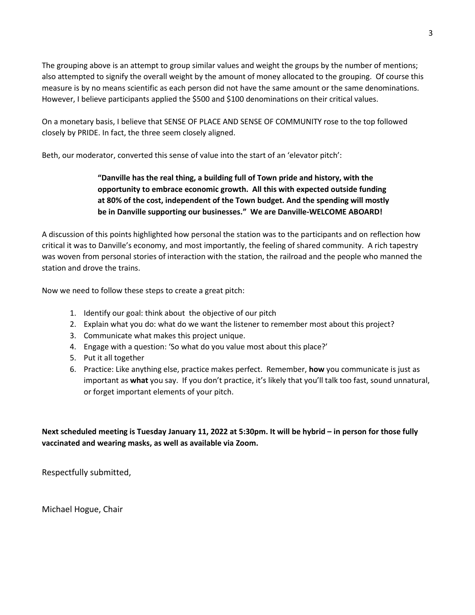The grouping above is an attempt to group similar values and weight the groups by the number of mentions; also attempted to signify the overall weight by the amount of money allocated to the grouping. Of course this measure is by no means scientific as each person did not have the same amount or the same denominations. However, I believe participants applied the \$500 and \$100 denominations on their critical values.

On a monetary basis, I believe that SENSE OF PLACE AND SENSE OF COMMUNITY rose to the top followed closely by PRIDE. In fact, the three seem closely aligned.

Beth, our moderator, converted this sense of value into the start of an 'elevator pitch':

### **"Danville has the real thing, a building full of Town pride and history, with the opportunity to embrace economic growth. All this with expected outside funding at 80% of the cost, independent of the Town budget. And the spending will mostly be in Danville supporting our businesses." We are Danville-WELCOME ABOARD!**

A discussion of this points highlighted how personal the station was to the participants and on reflection how critical it was to Danville's economy, and most importantly, the feeling of shared community. A rich tapestry was woven from personal stories of interaction with the station, the railroad and the people who manned the station and drove the trains.

Now we need to follow these steps to create a great pitch:

- 1. Identify our goal: think about the objective of our pitch
- 2. Explain what you do: what do we want the listener to remember most about this project?
- 3. Communicate what makes this project unique.
- 4. Engage with a question: 'So what do you value most about this place?'
- 5. Put it all together
- 6. Practice: Like anything else, practice makes perfect. Remember, **how** you communicate is just as important as **what** you say. If you don't practice, it's likely that you'll talk too fast, sound unnatural, or forget important elements of your pitch.

**Next scheduled meeting is Tuesday January 11, 2022 at 5:30pm. It will be hybrid – in person for those fully vaccinated and wearing masks, as well as available via Zoom.**

Respectfully submitted,

Michael Hogue, Chair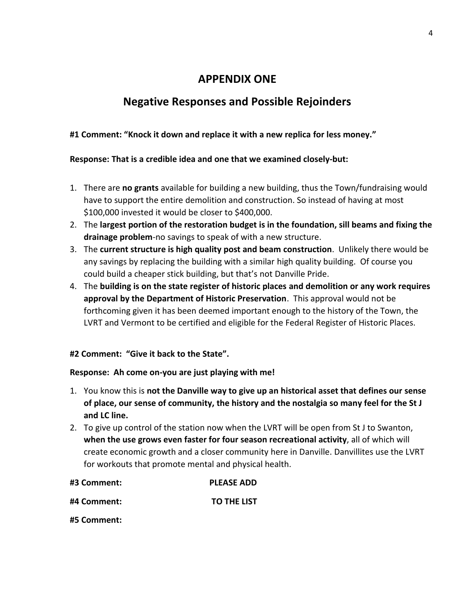## **APPENDIX ONE**

# **Negative Responses and Possible Rejoinders**

## **#1 Comment: "Knock it down and replace it with a new replica for less money."**

### **Response: That is a credible idea and one that we examined closely-but:**

- 1. There are **no grants** available for building a new building, thus the Town/fundraising would have to support the entire demolition and construction. So instead of having at most \$100,000 invested it would be closer to \$400,000.
- 2. The **largest portion of the restoration budget is in the foundation, sill beams and fixing the drainage problem**-no savings to speak of with a new structure.
- 3. The **current structure is high quality post and beam construction**. Unlikely there would be any savings by replacing the building with a similar high quality building. Of course you could build a cheaper stick building, but that's not Danville Pride.
- 4. The **building is on the state register of historic places and demolition or any work requires approval by the Department of Historic Preservation**. This approval would not be forthcoming given it has been deemed important enough to the history of the Town, the LVRT and Vermont to be certified and eligible for the Federal Register of Historic Places.

### **#2 Comment: "Give it back to the State".**

### **Response: Ah come on-you are just playing with me!**

- 1. You know this is **not the Danville way to give up an historical asset that defines our sense of place, our sense of community, the history and the nostalgia so many feel for the St J and LC line.**
- 2. To give up control of the station now when the LVRT will be open from St J to Swanton, **when the use grows even faster for four season recreational activity**, all of which will create economic growth and a closer community here in Danville. Danvillites use the LVRT for workouts that promote mental and physical health.

| #3 Comment: | <b>PLEASE ADD</b>  |
|-------------|--------------------|
| #4 Comment: | <b>TO THE LIST</b> |

**#5 Comment:**